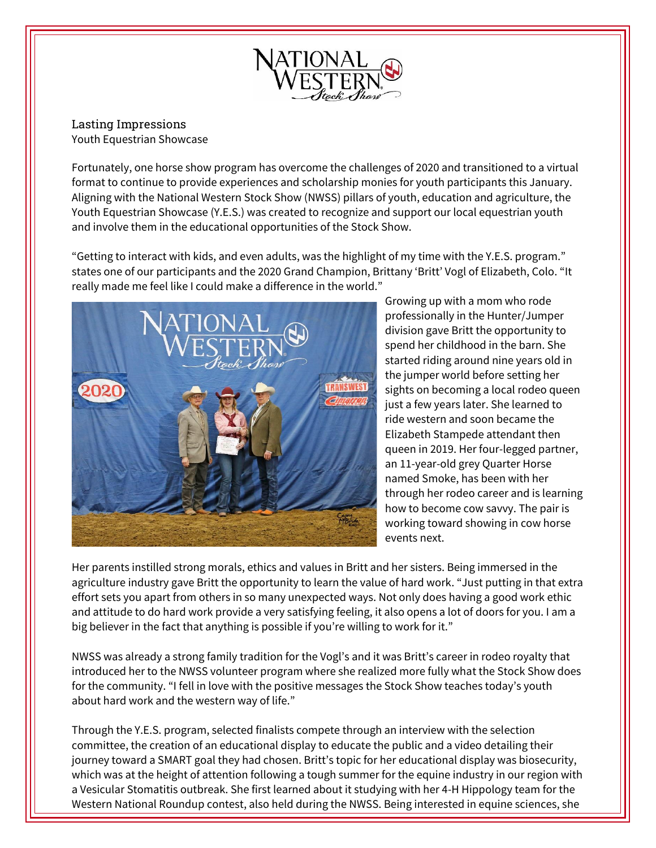

Lasting Impressions Youth Equestrian Showcase

Fortunately, one horse show program has overcome the challenges of 2020 and transitioned to a virtual format to continue to provide experiences and scholarship monies for youth participants this January. Aligning with the National Western Stock Show (NWSS) pillars of youth, education and agriculture, the Youth Equestrian Showcase (Y.E.S.) was created to recognize and support our local equestrian youth and involve them in the educational opportunities of the Stock Show.

"Getting to interact with kids, and even adults, was the highlight of my time with the Y.E.S. program." states one of our participants and the 2020 Grand Champion, Brittany 'Britt' Vogl of Elizabeth, Colo. "It really made me feel like I could make a difference in the world."



Growing up with a mom who rode professionally in the Hunter/Jumper division gave Britt the opportunity to spend her childhood in the barn. She started riding around nine years old in the jumper world before setting her sights on becoming a local rodeo queen just a few years later. She learned to ride western and soon became the Elizabeth Stampede attendant then queen in 2019. Her four-legged partner, an 11-year-old grey Quarter Horse named Smoke, has been with her through her rodeo career and is learning how to become cow savvy. The pair is working toward showing in cow horse events next.

Her parents instilled strong morals, ethics and values in Britt and her sisters. Being immersed in the agriculture industry gave Britt the opportunity to learn the value of hard work. "Just putting in that extra effort sets you apart from others in so many unexpected ways. Not only does having a good work ethic and attitude to do hard work provide a very satisfying feeling, it also opens a lot of doors for you. I am a big believer in the fact that anything is possible if you're willing to work for it."

NWSS was already a strong family tradition for the Vogl's and it was Britt's career in rodeo royalty that introduced her to the NWSS volunteer program where she realized more fully what the Stock Show does for the community. "I fell in love with the positive messages the Stock Show teaches today's youth about hard work and the western way of life."

Through the Y.E.S. program, selected finalists compete through an interview with the selection committee, the creation of an educational display to educate the public and a video detailing their journey toward a SMART goal they had chosen. Britt's topic for her educational display was biosecurity, which was at the height of attention following a tough summer for the equine industry in our region with a Vesicular Stomatitis outbreak. She first learned about it studying with her 4-H Hippology team for the Western National Roundup contest, also held during the NWSS. Being interested in equine sciences, she